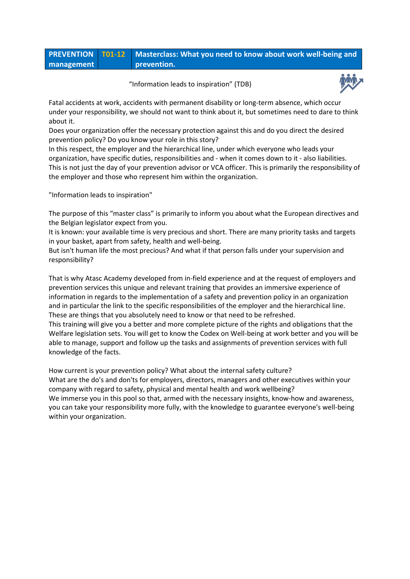|            | <b>PREVENTION T01-12</b> Masterclass: What you need to know about work well-being and |
|------------|---------------------------------------------------------------------------------------|
| management | prevention.                                                                           |

"Information leads to inspiration" (TDB)



Fatal accidents at work, accidents with permanent disability or long-term absence, which occur under your responsibility, we should not want to think about it, but sometimes need to dare to think about it.

Does your organization offer the necessary protection against this and do you direct the desired prevention policy? Do you know your role in this story?

In this respect, the employer and the hierarchical line, under which everyone who leads your organization, have specific duties, responsibilities and - when it comes down to it - also liabilities. This is not just the day of your prevention advisor or VCA officer. This is primarily the responsibility of the employer and those who represent him within the organization.

"Information leads to inspiration"

The purpose of this "master class" is primarily to inform you about what the European directives and the Belgian legislator expect from you.

It is known: your available time is very precious and short. There are many priority tasks and targets in your basket, apart from safety, health and well-being.

But isn't human life the most precious? And what if that person falls under your supervision and responsibility?

That is why Atasc Academy developed from in-field experience and at the request of employers and prevention services this unique and relevant training that provides an immersive experience of information in regards to the implementation of a safety and prevention policy in an organization and in particular the link to the specific responsibilities of the employer and the hierarchical line. These are things that you absolutely need to know or that need to be refreshed.

This training will give you a better and more complete picture of the rights and obligations that the Welfare legislation sets. You will get to know the Codex on Well-being at work better and you will be able to manage, support and follow up the tasks and assignments of prevention services with full knowledge of the facts.

How current is your prevention policy? What about the internal safety culture? What are the do's and don'ts for employers, directors, managers and other executives within your company with regard to safety, physical and mental health and work wellbeing? We immerse you in this pool so that, armed with the necessary insights, know-how and awareness, you can take your responsibility more fully, with the knowledge to guarantee everyone's well-being within your organization.